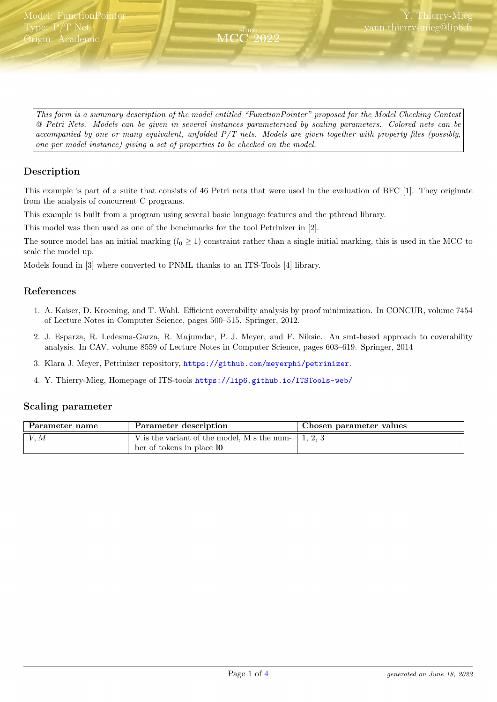<span id="page-0-0"></span>This form is a summary description of the model entitled "FunctionPointer" proposed for the Model Checking Contest @ Petri Nets. Models can be given in several instances parameterized by scaling parameters. Colored nets can be accompanied by one or many equivalent, unfolded P/T nets. Models are given together with property files (possibly, one per model instance) giving a set of properties to be checked on the model.

since MCC 2022

## Description

This example is part of a suite that consists of 46 Petri nets that were used in the evaluation of BFC [1]. They originate from the analysis of concurrent C programs.

This example is built from a program using several basic language features and the pthread library.

This model was then used as one of the benchmarks for the tool Petrinizer in [2].

The source model has an initial marking  $(l_0 \geq 1)$  constraint rather than a single initial marking, this is used in the MCC to scale the model up.

Models found in [3] where converted to PNML thanks to an ITS-Tools [4] library.

### References

- 1. A. Kaiser, D. Kroening, and T. Wahl. Efficient coverability analysis by proof minimization. In CONCUR, volume 7454 of Lecture Notes in Computer Science, pages 500–515. Springer, 2012.
- 2. J. Esparza, R. Ledesma-Garza, R. Majumdar, P. J. Meyer, and F. Niksic. An smt-based approach to coverability analysis. In CAV, volume 8559 of Lecture Notes in Computer Science, pages 603–619. Springer, 2014
- 3. Klara J. Meyer, Petrinizer repository, <https://github.com/meyerphi/petrinizer>.
- 4. Y. Thierry-Mieg, Homepage of ITS-tools <https://lip6.github.io/ITSTools-web/>

#### Scaling parameter

| . Parameter name | Parameter description                       | Chosen parameter values |  |
|------------------|---------------------------------------------|-------------------------|--|
| V, M             | V is the variant of the model, M s the num- |                         |  |
|                  | ber of tokens in place 10                   |                         |  |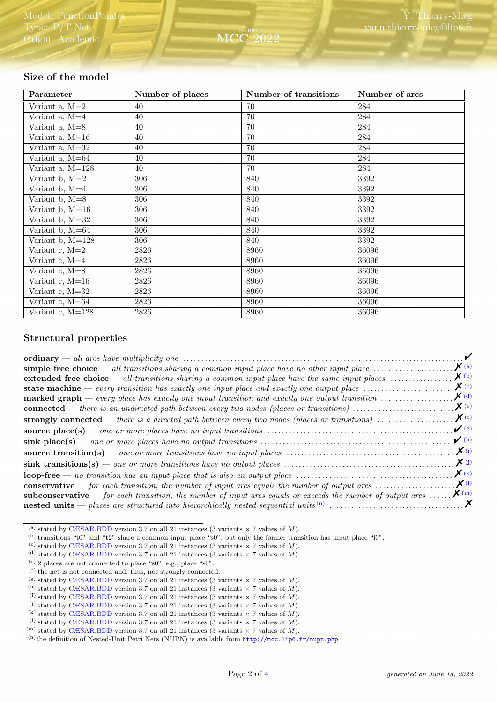## Size of the model

| Parameter        | Number of places | Number of transitions | Number of arcs |
|------------------|------------------|-----------------------|----------------|
| Variant $a, M=2$ | 40               | 70                    | 284            |
| Variant a, $M=4$ | 40               | 70                    | 284            |
| Variant a, M=8   | 40               | 70                    | 284            |
| Variant a, M=16  | 40               | 70                    | 284            |
| Variant a, M=32  | 40               | 70                    | 284            |
| Variant a, M=64  | 40               | 70                    | 284            |
| Variant a, M=128 | 40               | 70                    | 284            |
| Variant b, M=2   | 306              | 840                   | 3392           |
| Variant b, M=4   | 306              | 840                   | 3392           |
| Variant b, M=8   | 306              | 840                   | 3392           |
| Variant b, M=16  | 306              | 840                   | 3392           |
| Variant b, M=32  | 306              | 840                   | 3392           |
| Variant b, M=64  | 306              | 840                   | 3392           |
| Variant b, M=128 | 306              | 840                   | 3392           |
| Variant c, M=2   | 2826             | 8960                  | 36096          |
| Variant c, M=4   | 2826             | 8960                  | 36096          |
| Variant c, M=8   | 2826             | 8960                  | 36096          |
| Variant c, M=16  | 2826             | 8960                  | 36096          |
| Variant c, M=32  | 2826             | 8960                  | 36096          |
| Variant c, M=64  | 2826             | 8960                  | 36096          |
| Variant c, M=128 | 2826             | 8960                  | 36096          |

### Structural properties

|                                                                                                                                                              | $\sqrt{ }$           |
|--------------------------------------------------------------------------------------------------------------------------------------------------------------|----------------------|
| simple free choice — all transitions sharing a common input place have no other input place $\dots\dots\dots\dots\dots\dots\dots$                            | $\boldsymbol{X}$ (a) |
| extended free choice $-$ all transitions sharing a common input place have the same input places $\dots\dots\dots\dots\dots$                                 | $\boldsymbol{X}$ (b) |
| <b>state machine</b> — every transition has exactly one input place and exactly one output place $\dots\dots\dots\dots\dots\dots\dots$                       | $\mathbf{X}$ (c)     |
| <b>marked graph</b> — every place has exactly one input transition and exactly one output transition $\ldots \ldots \ldots \ldots \mathbf{X}$ <sup>(d)</sup> |                      |
|                                                                                                                                                              | $\mathcal{X}(e)$     |
|                                                                                                                                                              |                      |
|                                                                                                                                                              | $\mathcal{V}(g)$     |
|                                                                                                                                                              | $\mathcal{V}$ (h)    |
|                                                                                                                                                              | $\mathbf{X}^{(i)}$   |
|                                                                                                                                                              | $\chi$ (j)           |
| $loop-free \t- no transition has an input place that is also an output place \t \t \t \t \t \t$                                                              | $\mathbf{X}$ (k)     |
|                                                                                                                                                              |                      |
| <b>subconservative</b> — for each transition, the number of input arcs equals or exceeds the number of output arcs $\mathbf{X}^{(m)}$                        |                      |
|                                                                                                                                                              |                      |

<span id="page-1-0"></span><sup>(</sup>a) stated by [CÆSAR.BDD](http://cadp.inria.fr/man/caesar.bdd.html) version 3.7 on all 21 instances (3 variants  $\times$  7 values of M).

<span id="page-1-1"></span><sup>(</sup>b) transitions "t0" and "t2" share a common input place "s0", but only the former transition has input place "l0".

<span id="page-1-2"></span><sup>(</sup>c) stated by [CÆSAR.BDD](http://cadp.inria.fr/man/caesar.bdd.html) version 3.7 on all 21 instances (3 variants  $\times$  7 values of M).

<span id="page-1-3"></span><sup>(</sup>d) stated by [CÆSAR.BDD](http://cadp.inria.fr/man/caesar.bdd.html) version 3.7 on all 21 instances (3 variants  $\times$  7 values of M).

<span id="page-1-4"></span><sup>(</sup>e) 2 places are not connected to place " $s0$ ", e.g., place " $s6$ ".

<span id="page-1-5"></span> $^{\text{(f)}}$  the net is not connected and, thus, not strongly connected.

<span id="page-1-6"></span><sup>(</sup>g) stated by [CÆSAR.BDD](http://cadp.inria.fr/man/caesar.bdd.html) version 3.7 on all 21 instances (3 variants  $\times$  7 values of M).

<span id="page-1-7"></span><sup>(</sup>h) stated by [CÆSAR.BDD](http://cadp.inria.fr/man/caesar.bdd.html) version 3.7 on all 21 instances (3 variants  $\times$  7 values of M).

<span id="page-1-8"></span><sup>(</sup>i) stated by [CÆSAR.BDD](http://cadp.inria.fr/man/caesar.bdd.html) version 3.7 on all 21 instances (3 variants  $\times$  7 values of M).

<span id="page-1-9"></span><sup>(</sup>i) stated by [CÆSAR.BDD](http://cadp.inria.fr/man/caesar.bdd.html) version 3.7 on all 21 instances (3 variants  $\times$  7 values of M).

<span id="page-1-10"></span><sup>(</sup>k) stated by [CÆSAR.BDD](http://cadp.inria.fr/man/caesar.bdd.html) version 3.7 on all 21 instances (3 variants  $\times$  7 values of M).

<span id="page-1-11"></span><sup>&</sup>lt;sup>(1)</sup> stated by [CÆSAR.BDD](http://cadp.inria.fr/man/caesar.bdd.html) version 3.7 on all 21 instances (3 variants  $\times$  7 values of M).

<span id="page-1-12"></span> $^{(m)}$  stated by [CÆSAR.BDD](http://cadp.inria.fr/man/caesar.bdd.html) version 3.7 on all 21 instances (3 variants  $\times$  7 values of M).

<span id="page-1-13"></span><sup>(</sup>n)the definition of Nested-Unit Petri Nets (NUPN) is available from <http://mcc.lip6.fr/nupn.php>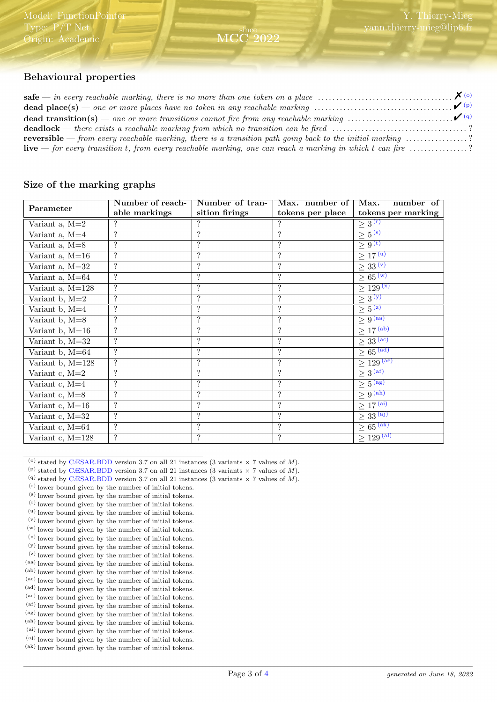# Behavioural properties

| <b>dead place(s)</b> — one or more places have no token in any reachable marking $\ldots$ $\ldots$ $\ldots$ $\ldots$ $\ldots$ $\ldots$ $\ldots$ $\ldots$ $\ldots$ $\ldots$ $\ldots$ $\ldots$ $\ldots$ $\ldots$ $\ldots$ $\ldots$ $\ldots$ $\ldots$ $\ldots$ $\ldots$ $\ldots$ $\ldots$ $\ldots$ $\ldots$ |  |
|----------------------------------------------------------------------------------------------------------------------------------------------------------------------------------------------------------------------------------------------------------------------------------------------------------|--|
|                                                                                                                                                                                                                                                                                                          |  |
| <b>deadlock</b> — there exists a reachable marking from which no transition can be fired ?                                                                                                                                                                                                               |  |
| <b>reversible</b> — from every reachable marking, there is a transition path going back to the initial marking $\ldots \ldots \ldots \ldots$                                                                                                                                                             |  |
| <b>live</b> — for every transition t, from every reachable marking, one can reach a marking in which t can fire $\ldots$ ?                                                                                                                                                                               |  |

since MCC 2022

#### Size of the marking graphs

| Parameter          | Number of reach-         | Number of tran-          | Max. number of           | Max.<br>number of                    |
|--------------------|--------------------------|--------------------------|--------------------------|--------------------------------------|
|                    | able markings            | sition firings           | tokens per place         | tokens per marking                   |
| Variant $a, M=2$   |                          |                          |                          | $\geq 3^{(r)}$                       |
| Variant $a, M=4$   | $\ddot{?}$               | ?                        | $\ddot{?}$               | $\geq 5^{(s)}$                       |
| Variant a, $M=8$   | $\overline{?}$           | $\ddot{?}$               | $\ddot{?}$               | $\geq 9^{(t)}$                       |
| Variant $a, M=16$  | $\overline{?}$           | $\ddot{?}$               | $\ddot{?}$               | $\geq$ 17 <sup>(u)</sup>             |
| Variant a, M=32    | $\ddot{?}$               | $\overline{\mathcal{L}}$ | $\overline{\cdot}$       | $\geq 33^{(v)}$                      |
| Variant a, M=64    | $\overline{?}$           | $\cdot$                  | $\ddot{?}$               | $\geq 65^{(w)}$                      |
| Variant a, M=128   | $\ddot{?}$               | $\ddot{?}$               | $\ddot{?}$               | $\geq 129^{(x)}$                     |
| Variant $b, M=2$   | $\ddot{?}$               | $\ddot{?}$               | $\ddot{?}$               | $\geq 3(y)$                          |
| Variant $b, M=4$   | $\ddot{?}$               | $\overline{\cdot}$       | $\ddot{?}$               | $\geq 5^{(z)}$                       |
| Variant b, M=8     | $\overline{\mathcal{L}}$ | $\overline{?}$           | $\overline{?}$           | $\geq 9^{(aa)}$                      |
| Variant b, M=16    | $\overline{?}$           | $\ddot{?}$               | $\ddot{?}$               | $\geq 17^{(ab)}$                     |
| Variant b, M=32    | $\ddot{?}$               | $\ddot{?}$               | $\ddot{?}$               | $\geq 33^{\overline{(\mathrm{ac})}}$ |
| Variant b, M=64    | $\boldsymbol ?$          | $\cdot$                  | $\ddot{?}$               | $\geq 65 \, \mathrm{(ad)}$           |
| Variant b, M=128   | $\overline{\cdot}$       | $\overline{\mathcal{L}}$ | $\overline{\cdot}$       | $\geq 129^{(ae)}$                    |
| Variant $c, M=2$   | $\ddot{?}$               | $\ddot{?}$               | $\ddot{?}$               | $\geq 3^{(af)}$                      |
| Variant c, M=4     | $\ddot{?}$               | $\ddot{?}$               | $\ddot{?}$               | $\geq 5^{(ag)}$                      |
| Variant c, M=8     | $\ddot{?}$               | $\ddot{?}$               | $\ddot{?}$               | $\geq 9^{(ah)}$                      |
| Variant $c, M=16$  | $\ddot{?}$               | $\overline{\cdot}$       | $\overline{\mathcal{L}}$ | $\geq$ 17 <sup>(ai)</sup>            |
| Variant c, M=32    | $\overline{?}$           | $\overline{\mathcal{L}}$ | $\overline{?}$           | $\geq$ 33 <sup>(aj)</sup>            |
| Variant c, M=64    | $\ddot{?}$               | $\cdot$                  | $\ddot{?}$               | $\geq 65^{\rm (ak)}$                 |
| Variant $c, M=128$ | $\boldsymbol ?$          | $\ddot{?}$               | $\ddot{?}$               | $\geq 129^{\overline{\text{(al)}}}$  |

<span id="page-2-0"></span><sup>(</sup>o) stated by [CÆSAR.BDD](http://cadp.inria.fr/man/caesar.bdd.html) version 3.7 on all 21 instances (3 variants  $\times$  7 values of M).

- <span id="page-2-1"></span>(p) stated by [CÆSAR.BDD](http://cadp.inria.fr/man/caesar.bdd.html) version 3.7 on all 21 instances (3 variants  $\times$  7 values of M).
- <span id="page-2-2"></span>(q) stated by [CÆSAR.BDD](http://cadp.inria.fr/man/caesar.bdd.html) version 3.7 on all 21 instances (3 variants  $\times$  7 values of M).
- <span id="page-2-3"></span> $(r)$  lower bound given by the number of initial tokens.
- (s) lower bound given by the number of initial tokens.
- (t) lower bound given by the number of initial tokens.
- (u) lower bound given by the number of initial tokens. (v) lower bound given by the number of initial tokens.
- (w) lower bound given by the number of initial tokens.
- (x) lower bound given by the number of initial tokens.
- (y) lower bound given by the number of initial tokens.
- (z) lower bound given by the number of initial tokens.
- (aa) lower bound given by the number of initial tokens.
- (ab) lower bound given by the number of initial tokens. (ac) lower bound given by the number of initial tokens.
- (ad) lower bound given by the number of initial tokens.
- (ae) lower bound given by the number of initial tokens.
- (af) lower bound given by the number of initial tokens.
- (ag) lower bound given by the number of initial tokens.
- (ah) lower bound given by the number of initial tokens. (ai) lower bound given by the number of initial tokens.
- (aj) lower bound given by the number of initial tokens.
- $^{\rm (ak)}$  lower bound given by the number of initial tokens.